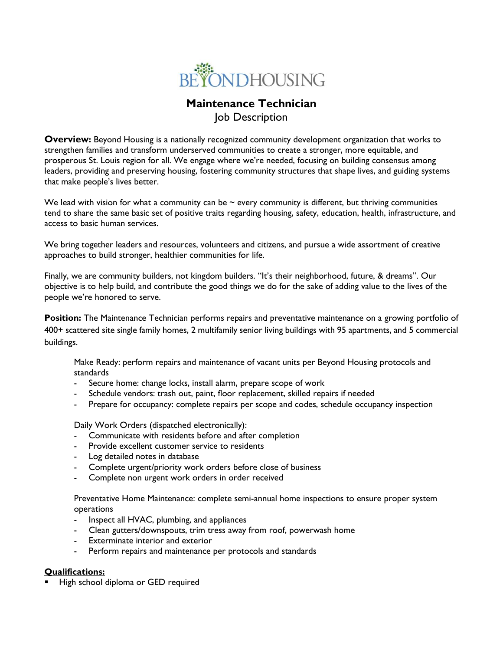

# **Maintenance Technician** Job Description

**Overview:** Beyond Housing is a nationally recognized community development organization that works to strengthen families and transform underserved communities to create a stronger, more equitable, and prosperous St. Louis region for all. We engage where we're needed, focusing on building consensus among leaders, providing and preserving housing, fostering community structures that shape lives, and guiding systems that make people's lives better.

We lead with vision for what a community can be  $\sim$  every community is different, but thriving communities tend to share the same basic set of positive traits regarding housing, safety, education, health, infrastructure, and access to basic human services.

We bring together leaders and resources, volunteers and citizens, and pursue a wide assortment of creative approaches to build stronger, healthier communities for life.

Finally, we are community builders, not kingdom builders. "It's their neighborhood, future, & dreams". Our objective is to help build, and contribute the good things we do for the sake of adding value to the lives of the people we're honored to serve.

**Position:** The Maintenance Technician performs repairs and preventative maintenance on a growing portfolio of 400+ scattered site single family homes, 2 multifamily senior living buildings with 95 apartments, and 5 commercial buildings.

Make Ready: perform repairs and maintenance of vacant units per Beyond Housing protocols and standards

- Secure home: change locks, install alarm, prepare scope of work
- Schedule vendors: trash out, paint, floor replacement, skilled repairs if needed
- Prepare for occupancy: complete repairs per scope and codes, schedule occupancy inspection

Daily Work Orders (dispatched electronically):

- Communicate with residents before and after completion
- Provide excellent customer service to residents
- Log detailed notes in database
- Complete urgent/priority work orders before close of business
- Complete non urgent work orders in order received

Preventative Home Maintenance: complete semi-annual home inspections to ensure proper system operations

- Inspect all HVAC, plumbing, and appliances
- Clean gutters/downspouts, trim tress away from roof, powerwash home
- Exterminate interior and exterior
- Perform repairs and maintenance per protocols and standards

## **Qualifications:**

High school diploma or GED required